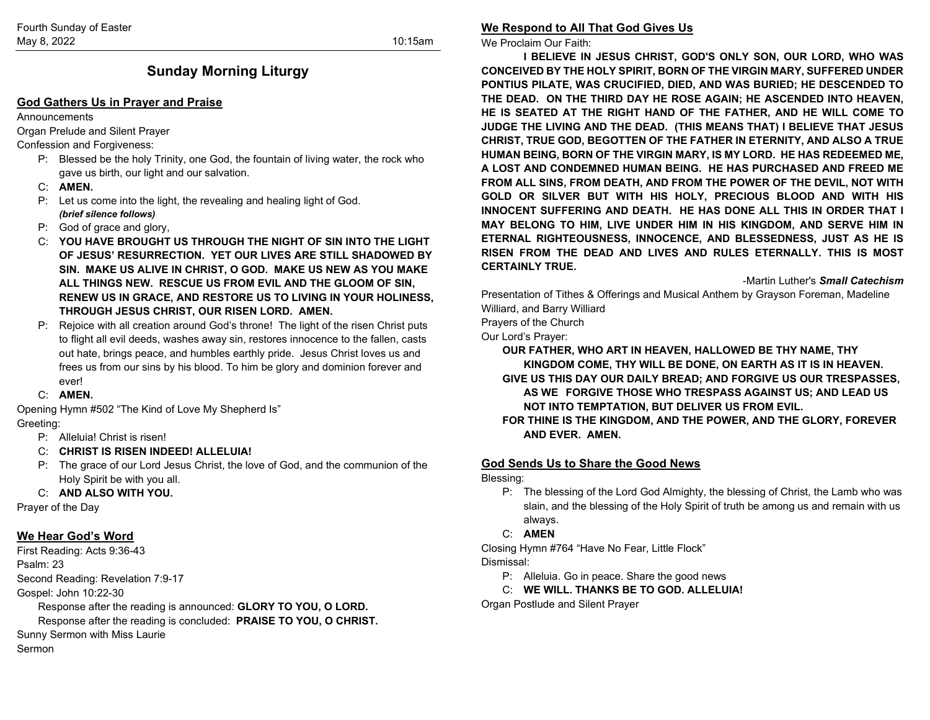# **Sunday Morning Liturgy**

#### **God Gathers Us in Prayer and Praise**

#### **Announcements**

Organ Prelude and Silent Prayer

#### Confession and Forgiveness:

- P: Blessed be the holy Trinity, one God, the fountain of living water, the rock who gave us birth, our light and our salvation.
- C: **AMEN.**
- P: Let us come into the light, the revealing and healing light of God. *(brief silence follows)*
- P: God of grace and glory,
- C: **YOU HAVE BROUGHT US THROUGH THE NIGHT OF SIN INTO THE LIGHT OF JESUS' RESURRECTION. YET OUR LIVES ARE STILL SHADOWED BY SIN. MAKE US ALIVE IN CHRIST, O GOD. MAKE US NEW AS YOU MAKE ALL THINGS NEW. RESCUE US FROM EVIL AND THE GLOOM OF SIN, RENEW US IN GRACE, AND RESTORE US TO LIVING IN YOUR HOLINESS, THROUGH JESUS CHRIST, OUR RISEN LORD. AMEN.**
- P: Rejoice with all creation around God's throne! The light of the risen Christ puts to flight all evil deeds, washes away sin, restores innocence to the fallen, casts out hate, brings peace, and humbles earthly pride. Jesus Christ loves us and frees us from our sins by his blood. To him be glory and dominion forever and ever!
- C: **AMEN.**

Opening Hymn #502 "The Kind of Love My Shepherd Is" Greeting:

- P: Alleluia! Christ is risen!
- C: **CHRIST IS RISEN INDEED! ALLELUIA!**
- P: The grace of our Lord Jesus Christ, the love of God, and the communion of the Holy Spirit be with you all.

#### C: **AND ALSO WITH YOU.**

Prayer of the Day

## **We Hear God's Word**

First Reading: Acts 9:36-43 Psalm: 23 Second Reading: Revelation 7:9-17 Gospel: John 10:22-30

Response after the reading is announced: **GLORY TO YOU, O LORD.**

Response after the reading is concluded: **PRAISE TO YOU, O CHRIST.**

Sunny Sermon with Miss Laurie

Sermon

## **We Respond to All That God Gives Us**

We Proclaim Our Faith:

**I BELIEVE IN JESUS CHRIST, GOD'S ONLY SON, OUR LORD, WHO WAS CONCEIVED BY THE HOLY SPIRIT, BORN OF THE VIRGIN MARY, SUFFERED UNDER PONTIUS PILATE, WAS CRUCIFIED, DIED, AND WAS BURIED; HE DESCENDED TO THE DEAD. ON THE THIRD DAY HE ROSE AGAIN; HE ASCENDED INTO HEAVEN, HE IS SEATED AT THE RIGHT HAND OF THE FATHER, AND HE WILL COME TO JUDGE THE LIVING AND THE DEAD. (THIS MEANS THAT) I BELIEVE THAT JESUS CHRIST, TRUE GOD, BEGOTTEN OF THE FATHER IN ETERNITY, AND ALSO A TRUE HUMAN BEING, BORN OF THE VIRGIN MARY, IS MY LORD. HE HAS REDEEMED ME, A LOST AND CONDEMNED HUMAN BEING. HE HAS PURCHASED AND FREED ME FROM ALL SINS, FROM DEATH, AND FROM THE POWER OF THE DEVIL, NOT WITH GOLD OR SILVER BUT WITH HIS HOLY, PRECIOUS BLOOD AND WITH HIS INNOCENT SUFFERING AND DEATH. HE HAS DONE ALL THIS IN ORDER THAT I MAY BELONG TO HIM, LIVE UNDER HIM IN HIS KINGDOM, AND SERVE HIM IN ETERNAL RIGHTEOUSNESS, INNOCENCE, AND BLESSEDNESS, JUST AS HE IS RISEN FROM THE DEAD AND LIVES AND RULES ETERNALLY. THIS IS MOST CERTAINLY TRUE.**

-Martin Luther's *Small Catechism*

Presentation of Tithes & Offerings and Musical Anthem by Grayson Foreman, Madeline Williard, and Barry Williard

Prayers of the Church

Our Lord's Prayer:

**OUR FATHER, WHO ART IN HEAVEN, HALLOWED BE THY NAME, THY KINGDOM COME, THY WILL BE DONE, ON EARTH AS IT IS IN HEAVEN. GIVE US THIS DAY OUR DAILY BREAD; AND FORGIVE US OUR TRESPASSES, AS WE FORGIVE THOSE WHO TRESPASS AGAINST US; AND LEAD US NOT INTO TEMPTATION, BUT DELIVER US FROM EVIL.**

**FOR THINE IS THE KINGDOM, AND THE POWER, AND THE GLORY, FOREVER AND EVER. AMEN.**

## **God Sends Us to Share the Good News**

Blessing:

- P: The blessing of the Lord God Almighty, the blessing of Christ, the Lamb who was slain, and the blessing of the Holy Spirit of truth be among us and remain with us always.
- C: **AMEN**

Closing Hymn #764 "Have No Fear, Little Flock" Dismissal:

- P: Alleluia. Go in peace. Share the good news
- C: **WE WILL. THANKS BE TO GOD. ALLELUIA!**

Organ Postlude and Silent Prayer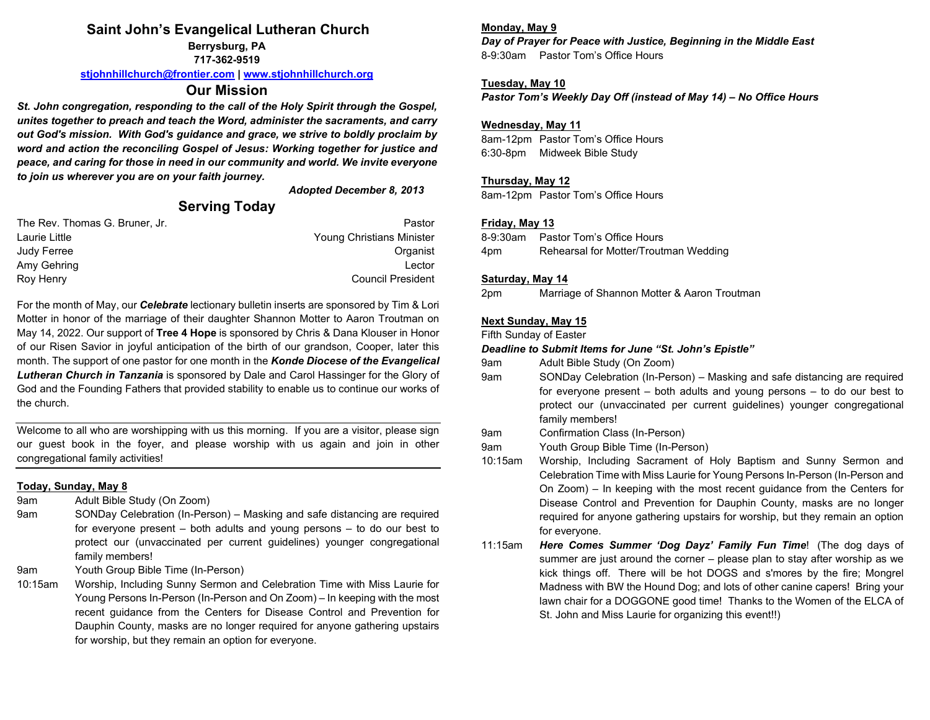## **Saint John's Evangelical Lutheran Church**

**Berrysburg, PA 717-362-9519**

**[stjohnhillchurch@frontier.com](mailto:stjohnhillchurch@frontier.com) | [www.stjohnhillchurch.org](http://www.stjohnhillchurch.org/)**

## **Our Mission**

*St. John congregation, responding to the call of the Holy Spirit through the Gospel, unites together to preach and teach the Word, administer the sacraments, and carry out God's mission. With God's guidance and grace, we strive to boldly proclaim by word and action the reconciling Gospel of Jesus: Working together for justice and peace, and caring for those in need in our community and world. We invite everyone to join us wherever you are on your faith journey.*

*Adopted December 8, 2013*

## **Serving Today**

| Pastor                    |
|---------------------------|
| Young Christians Minister |
| Organist                  |
| Lector                    |
| <b>Council President</b>  |
|                           |

For the month of May, our *Celebrate* lectionary bulletin inserts are sponsored by Tim & Lori Motter in honor of the marriage of their daughter Shannon Motter to Aaron Troutman on May 14, 2022. Our support of **Tree 4 Hope** is sponsored by Chris & Dana Klouser in Honor of our Risen Savior in joyful anticipation of the birth of our grandson, Cooper, later this month. The support of one pastor for one month in the *Konde Diocese of the Evangelical Lutheran Church in Tanzania* is sponsored by Dale and Carol Hassinger for the Glory of God and the Founding Fathers that provided stability to enable us to continue our works of the church.

Welcome to all who are worshipping with us this morning. If you are a visitor, please sign our guest book in the foyer, and please worship with us again and join in other congregational family activities!

#### **Today, Sunday, May 8**

9am Adult Bible Study (On Zoom)

9am SONDay Celebration (In-Person) – Masking and safe distancing are required for everyone present – both adults and young persons – to do our best to protect our (unvaccinated per current guidelines) younger congregational family members!

- 9am Youth Group Bible Time (In-Person)
- 10:15am Worship, Including Sunny Sermon and Celebration Time with Miss Laurie for Young Persons In-Person (In-Person and On Zoom) – In keeping with the most recent guidance from the Centers for Disease Control and Prevention for Dauphin County, masks are no longer required for anyone gathering upstairs for worship, but they remain an option for everyone.

### **Monday, May 9**

*Day of Prayer for Peace with Justice, Beginning in the Middle East* 8-9:30am Pastor Tom's Office Hours

### **Tuesday, May 10**

*Pastor Tom's Weekly Day Off (instead of May 14) – No Office Hours*

### **Wednesday, May 11**

8am-12pm Pastor Tom's Office Hours 6:30-8pm Midweek Bible Study

### **Thursday, May 12**

8am-12pm Pastor Tom's Office Hours

### **Friday, May 13**

8-9:30am Pastor Tom's Office Hours 4pm Rehearsal for Motter/Troutman Wedding

#### **Saturday, May 14**

2pm Marriage of Shannon Motter & Aaron Troutman

#### **Next Sunday, May 15**

Fifth Sunday of Easter

#### *Deadline to Submit Items for June "St. John's Epistle"*

- 9am Adult Bible Study (On Zoom)
- 9am SONDay Celebration (In-Person) Masking and safe distancing are required for everyone present – both adults and young persons – to do our best to protect our (unvaccinated per current guidelines) younger congregational family members!
- 9am Confirmation Class (In-Person)
- 9am Youth Group Bible Time (In-Person)
- 10:15am Worship, Including Sacrament of Holy Baptism and Sunny Sermon and Celebration Time with Miss Laurie for Young Persons In-Person (In-Person and On Zoom) – In keeping with the most recent guidance from the Centers for Disease Control and Prevention for Dauphin County, masks are no longer required for anyone gathering upstairs for worship, but they remain an option for everyone.
- 11:15am *Here Comes Summer 'Dog Dayz' Family Fun Time*! (The dog days of summer are just around the corner – please plan to stay after worship as we kick things off. There will be hot DOGS and s'mores by the fire; Mongrel Madness with BW the Hound Dog; and lots of other canine capers! Bring your lawn chair for a DOGGONE good time! Thanks to the Women of the ELCA of St. John and Miss Laurie for organizing this event!!)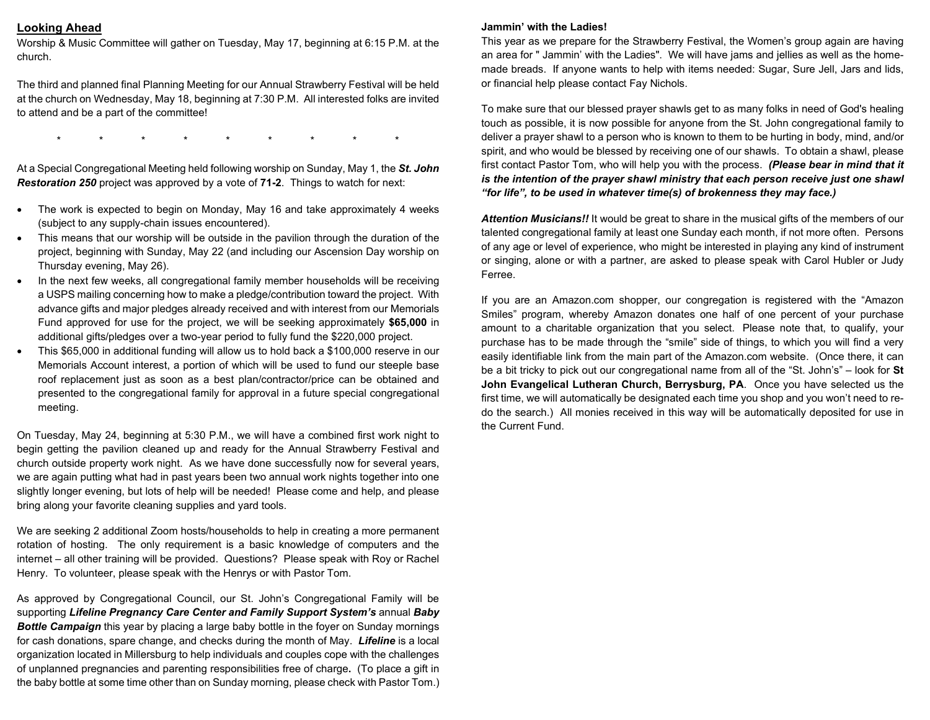#### **Looking Ahead**

Worship & Music Committee will gather on Tuesday, May 17, beginning at 6:15 P.M. at the church.

The third and planned final Planning Meeting for our Annual Strawberry Festival will be held at the church on Wednesday, May 18, beginning at 7:30 P.M. All interested folks are invited to attend and be a part of the committee!

\* \* \* \* \* \* \* \* \*

At a Special Congregational Meeting held following worship on Sunday, May 1, the *St. John Restoration 250* project was approved by a vote of **71-2**. Things to watch for next:

- The work is expected to begin on Monday, May 16 and take approximately 4 weeks (subject to any supply-chain issues encountered).
- This means that our worship will be outside in the pavilion through the duration of the project, beginning with Sunday, May 22 (and including our Ascension Day worship on Thursday evening, May 26).
- In the next few weeks, all congregational family member households will be receiving a USPS mailing concerning how to make a pledge/contribution toward the project. With advance gifts and major pledges already received and with interest from our Memorials Fund approved for use for the project, we will be seeking approximately **\$65,000** in additional gifts/pledges over a two-year period to fully fund the \$220,000 project.
- This \$65,000 in additional funding will allow us to hold back a \$100,000 reserve in our Memorials Account interest, a portion of which will be used to fund our steeple base roof replacement just as soon as a best plan/contractor/price can be obtained and presented to the congregational family for approval in a future special congregational meeting.

On Tuesday, May 24, beginning at 5:30 P.M., we will have a combined first work night to begin getting the pavilion cleaned up and ready for the Annual Strawberry Festival and church outside property work night. As we have done successfully now for several years, we are again putting what had in past years been two annual work nights together into one slightly longer evening, but lots of help will be needed! Please come and help, and please bring along your favorite cleaning supplies and yard tools.

We are seeking 2 additional Zoom hosts/households to help in creating a more permanent rotation of hosting. The only requirement is a basic knowledge of computers and the internet – all other training will be provided. Questions? Please speak with Roy or Rachel Henry. To volunteer, please speak with the Henrys or with Pastor Tom.

As approved by Congregational Council, our St. John's Congregational Family will be supporting *Lifeline Pregnancy Care Center and Family Support System's* annual *Baby Bottle Campaign* this year by placing a large baby bottle in the foyer on Sunday mornings for cash donations, spare change, and checks during the month of May.*Lifeline* is a local organization located in Millersburg to help individuals and couples cope with the challenges of unplanned pregnancies and parenting responsibilities free of charge**.** (To place a gift in the baby bottle at some time other than on Sunday morning, please check with Pastor Tom.)

#### **Jammin' with the Ladies!**

This year as we prepare for the Strawberry Festival, the Women's group again are having an area for " Jammin' with the Ladies". We will have jams and jellies as well as the homemade breads. If anyone wants to help with items needed: Sugar, Sure Jell, Jars and lids, or financial help please contact Fay Nichols.

To make sure that our blessed prayer shawls get to as many folks in need of God's healing touch as possible, it is now possible for anyone from the St. John congregational family to deliver a prayer shawl to a person who is known to them to be hurting in body, mind, and/or spirit, and who would be blessed by receiving one of our shawls. To obtain a shawl, please first contact Pastor Tom, who will help you with the process. *(Please bear in mind that it is the intention of the prayer shawl ministry that each person receive just one shawl "for life", to be used in whatever time(s) of brokenness they may face.)*

*Attention Musicians!!* It would be great to share in the musical gifts of the members of our talented congregational family at least one Sunday each month, if not more often. Persons of any age or level of experience, who might be interested in playing any kind of instrument or singing, alone or with a partner, are asked to please speak with Carol Hubler or Judy Ferree.

If you are an Amazon.com shopper, our congregation is registered with the "Amazon Smiles" program, whereby Amazon donates one half of one percent of your purchase amount to a charitable organization that you select. Please note that, to qualify, your purchase has to be made through the "smile" side of things, to which you will find a very easily identifiable link from the main part of the Amazon.com website. (Once there, it can be a bit tricky to pick out our congregational name from all of the "St. John's" – look for **St John Evangelical Lutheran Church, Berrysburg, PA**. Once you have selected us the first time, we will automatically be designated each time you shop and you won't need to redo the search.) All monies received in this way will be automatically deposited for use in the Current Fund.